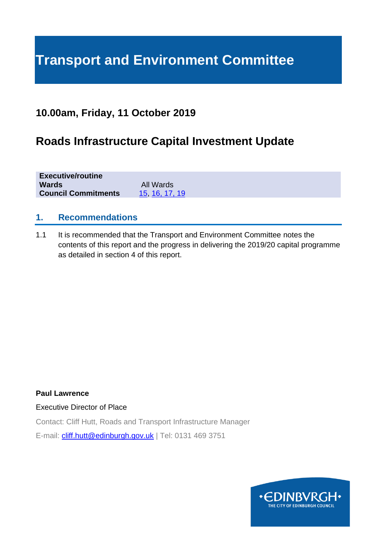# **Transport and Environment Committee**

## **10.00am, Friday, 11 October 2019**

## **Roads Infrastructure Capital Investment Update**

| <b>Executive/routine</b>   |               |  |
|----------------------------|---------------|--|
| <b>Wards</b>               | All Wards     |  |
| <b>Council Commitments</b> | 15 16, 17, 19 |  |

## **1. Recommendations**

1.1 It is recommended that the Transport and Environment Committee notes the contents of this report and the progress in delivering the 2019/20 capital programme as detailed in section 4 of this report.

**Paul Lawrence**

Executive Director of Place

Contact: Cliff Hutt, Roads and Transport Infrastructure Manager

E-mail: [cliff.hutt@edinburgh.gov.uk](mailto:cliff.hutt@edinburgh.gov.uk) | Tel: 0131 469 3751

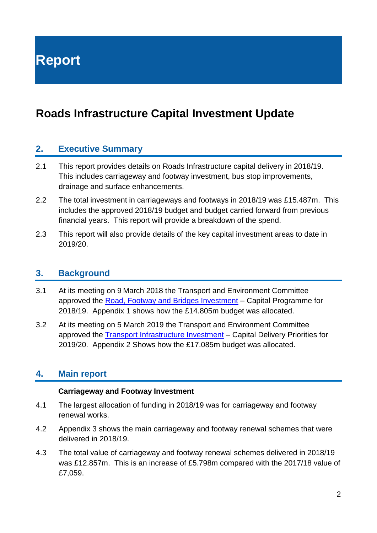**Report**

## **Roads Infrastructure Capital Investment Update**

## **2. Executive Summary**

- 2.1 This report provides details on Roads Infrastructure capital delivery in 2018/19. This includes carriageway and footway investment, bus stop improvements, drainage and surface enhancements.
- 2.2 The total investment in carriageways and footways in 2018/19 was £15.487m. This includes the approved 2018/19 budget and budget carried forward from previous financial years. This report will provide a breakdown of the spend.
- 2.3 This report will also provide details of the key capital investment areas to date in 2019/20.

#### **3. Background**

- 3.1 At its meeting on 9 March 2018 the Transport and Environment Committee approved the [Road, Footway and Bridges Investment](https://democracy.edinburgh.gov.uk/Data/Transport%20and%20Environment%20Committee/20180309/Agenda/item_74_-_road_footway_and_bridges_investment_capital_programme.pdf) – Capital Programme for 2018/19. Appendix 1 shows how the £14.805m budget was allocated.
- 3.2 At its meeting on 5 March 2019 the Transport and Environment Committee approved the [Transport Infrastructure Investment](https://democracy.edinburgh.gov.uk/Data/Transport%20and%20Environment%20Committee/20190305/Agenda/item_74_-_transport_infrastructure_investment_-_capital_delivery_priorities_for_201920.pdf) – Capital Delivery Priorities for 2019/20. Appendix 2 Shows how the £17.085m budget was allocated.

## **4. Main report**

#### **Carriageway and Footway Investment**

- 4.1 The largest allocation of funding in 2018/19 was for carriageway and footway renewal works.
- 4.2 Appendix 3 shows the main carriageway and footway renewal schemes that were delivered in 2018/19.
- 4.3 The total value of carriageway and footway renewal schemes delivered in 2018/19 was £12.857m. This is an increase of £5.798m compared with the 2017/18 value of £7,059.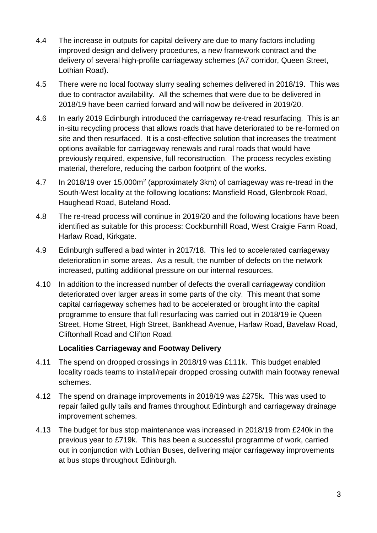- 4.4 The increase in outputs for capital delivery are due to many factors including improved design and delivery procedures, a new framework contract and the delivery of several high-profile carriageway schemes (A7 corridor, Queen Street, Lothian Road).
- 4.5 There were no local footway slurry sealing schemes delivered in 2018/19. This was due to contractor availability. All the schemes that were due to be delivered in 2018/19 have been carried forward and will now be delivered in 2019/20.
- 4.6 In early 2019 Edinburgh introduced the carriageway re-tread resurfacing. This is an in-situ recycling process that allows roads that have deteriorated to be re-formed on site and then resurfaced. It is a cost-effective solution that increases the treatment options available for carriageway renewals and rural roads that would have previously required, expensive, full reconstruction. The process recycles existing material, therefore, reducing the carbon footprint of the works.
- 4.7 In 2018/19 over 15,000m<sup>2</sup> (approximately 3km) of carriageway was re-tread in the South-West locality at the following locations: Mansfield Road, Glenbrook Road, Haughead Road, Buteland Road.
- 4.8 The re-tread process will continue in 2019/20 and the following locations have been identified as suitable for this process: Cockburnhill Road, West Craigie Farm Road, Harlaw Road, Kirkgate.
- 4.9 Edinburgh suffered a bad winter in 2017/18. This led to accelerated carriageway deterioration in some areas. As a result, the number of defects on the network increased, putting additional pressure on our internal resources.
- 4.10 In addition to the increased number of defects the overall carriageway condition deteriorated over larger areas in some parts of the city. This meant that some capital carriageway schemes had to be accelerated or brought into the capital programme to ensure that full resurfacing was carried out in 2018/19 ie Queen Street, Home Street, High Street, Bankhead Avenue, Harlaw Road, Bavelaw Road, Cliftonhall Road and Clifton Road.

#### **Localities Carriageway and Footway Delivery**

- 4.11 The spend on dropped crossings in 2018/19 was £111k. This budget enabled locality roads teams to install/repair dropped crossing outwith main footway renewal schemes.
- 4.12 The spend on drainage improvements in 2018/19 was £275k. This was used to repair failed gully tails and frames throughout Edinburgh and carriageway drainage improvement schemes.
- 4.13 The budget for bus stop maintenance was increased in 2018/19 from £240k in the previous year to £719k. This has been a successful programme of work, carried out in conjunction with Lothian Buses, delivering major carriageway improvements at bus stops throughout Edinburgh.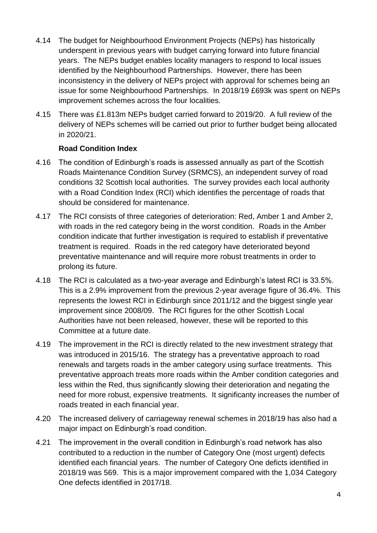- 4.14 The budget for Neighbourhood Environment Projects (NEPs) has historically underspent in previous years with budget carrying forward into future financial years. The NEPs budget enables locality managers to respond to local issues identified by the Neighbourhood Partnerships. However, there has been inconsistency in the delivery of NEPs project with approval for schemes being an issue for some Neighbourhood Partnerships. In 2018/19 £693k was spent on NEPs improvement schemes across the four localities.
- 4.15 There was £1.813m NEPs budget carried forward to 2019/20. A full review of the delivery of NEPs schemes will be carried out prior to further budget being allocated in 2020/21.

#### **Road Condition Index**

- 4.16 The condition of Edinburgh's roads is assessed annually as part of the Scottish Roads Maintenance Condition Survey (SRMCS), an independent survey of road conditions 32 Scottish local authorities. The survey provides each local authority with a Road Condition Index (RCI) which identifies the percentage of roads that should be considered for maintenance.
- 4.17 The RCI consists of three categories of deterioration: Red, Amber 1 and Amber 2, with roads in the red category being in the worst condition. Roads in the Amber condition indicate that further investigation is required to establish if preventative treatment is required. Roads in the red category have deteriorated beyond preventative maintenance and will require more robust treatments in order to prolong its future.
- 4.18 The RCI is calculated as a two-year average and Edinburgh's latest RCI is 33.5%. This is a 2.9% improvement from the previous 2-year average figure of 36.4%. This represents the lowest RCI in Edinburgh since 2011/12 and the biggest single year improvement since 2008/09. The RCI figures for the other Scottish Local Authorities have not been released, however, these will be reported to this Committee at a future date.
- 4.19 The improvement in the RCI is directly related to the new investment strategy that was introduced in 2015/16. The strategy has a preventative approach to road renewals and targets roads in the amber category using surface treatments. This preventative approach treats more roads within the Amber condition categories and less within the Red, thus significantly slowing their deterioration and negating the need for more robust, expensive treatments. It significanty increases the number of roads treated in each financial year.
- 4.20 The increased delivery of carriageway renewal schemes in 2018/19 has also had a major impact on Edinburgh's road condition.
- 4.21 The improvement in the overall condition in Edinburgh's road network has also contributed to a reduction in the number of Category One (most urgent) defects identified each financial years. The number of Category One deficts identified in 2018/19 was 569. This is a major improvement compared with the 1,034 Category One defects identified in 2017/18.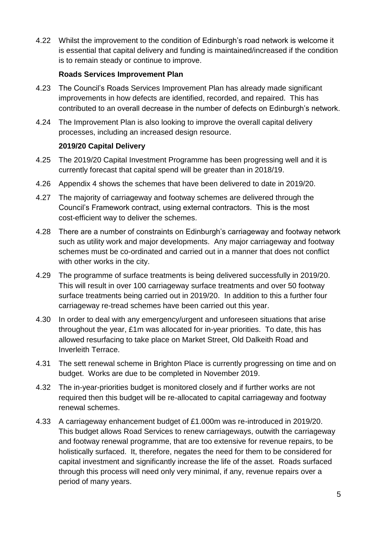4.22 Whilst the improvement to the condition of Edinburgh's road network is welcome it is essential that capital delivery and funding is maintained/increased if the condition is to remain steady or continue to improve.

#### **Roads Services Improvement Plan**

- 4.23 The Council's Roads Services Improvement Plan has already made significant improvements in how defects are identified, recorded, and repaired. This has contributed to an overall decrease in the number of defects on Edinburgh's network.
- 4.24 The Improvement Plan is also looking to improve the overall capital delivery processes, including an increased design resource.

#### **2019/20 Capital Delivery**

- 4.25 The 2019/20 Capital Investment Programme has been progressing well and it is currently forecast that capital spend will be greater than in 2018/19.
- 4.26 Appendix 4 shows the schemes that have been delivered to date in 2019/20.
- 4.27 The majority of carriageway and footway schemes are delivered through the Council's Framework contract, using external contractors. This is the most cost-efficient way to deliver the schemes.
- 4.28 There are a number of constraints on Edinburgh's carriageway and footway network such as utility work and major developments. Any major carriageway and footway schemes must be co-ordinated and carried out in a manner that does not conflict with other works in the city.
- 4.29 The programme of surface treatments is being delivered successfully in 2019/20. This will result in over 100 carriageway surface treatments and over 50 footway surface treatments being carried out in 2019/20. In addition to this a further four carriageway re-tread schemes have been carried out this year.
- 4.30 In order to deal with any emergency/urgent and unforeseen situations that arise throughout the year, £1m was allocated for in-year priorities. To date, this has allowed resurfacing to take place on Market Street, Old Dalkeith Road and Inverleith Terrace.
- 4.31 The sett renewal scheme in Brighton Place is currently progressing on time and on budget. Works are due to be completed in November 2019.
- 4.32 The in-year-priorities budget is monitored closely and if further works are not required then this budget will be re-allocated to capital carriageway and footway renewal schemes.
- 4.33 A carriageway enhancement budget of £1.000m was re-introduced in 2019/20. This budget allows Road Services to renew carriageways, outwith the carriageway and footway renewal programme, that are too extensive for revenue repairs, to be holistically surfaced. It, therefore, negates the need for them to be considered for capital investment and significantly increase the life of the asset. Roads surfaced through this process will need only very minimal, if any, revenue repairs over a period of many years.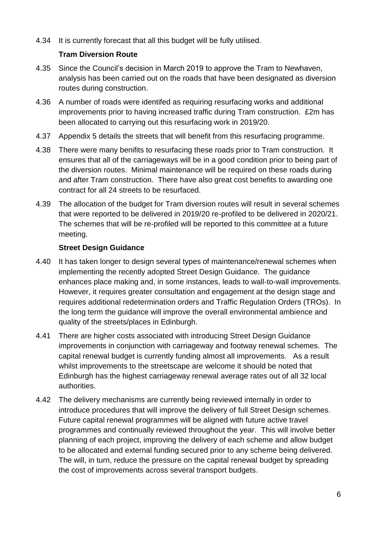4.34 It is currently forecast that all this budget will be fully utilised.

#### **Tram Diversion Route**

- 4.35 Since the Council's decision in March 2019 to approve the Tram to Newhaven, analysis has been carried out on the roads that have been designated as diversion routes during construction.
- 4.36 A number of roads were identifed as requiring resurfacing works and additional improvements prior to having increased traffic during Tram construction. £2m has been allocated to carrying out this resurfacing work in 2019/20.
- 4.37 Appendix 5 details the streets that will benefit from this resurfacing programme.
- 4.38 There were many benifits to resurfacing these roads prior to Tram construction. It ensures that all of the carriageways will be in a good condition prior to being part of the diversion routes. Minimal maintenance will be required on these roads during and after Tram construction. There have also great cost benefits to awarding one contract for all 24 streets to be resurfaced.
- 4.39 The allocation of the budget for Tram diversion routes will result in several schemes that were reported to be delivered in 2019/20 re-profiled to be delivered in 2020/21. The schemes that will be re-profiled will be reported to this committee at a future meeting.

#### **Street Design Guidance**

- 4.40 It has taken longer to design several types of maintenance/renewal schemes when implementing the recently adopted Street Design Guidance. The guidance enhances place making and, in some instances, leads to wall-to-wall improvements. However, it requires greater consultation and engagement at the design stage and requires additional redetermination orders and Traffic Regulation Orders (TROs). In the long term the guidance will improve the overall environmental ambience and quality of the streets/places in Edinburgh.
- 4.41 There are higher costs associated with introducing Street Design Guidance improvements in conjunction with carriageway and footway renewal schemes. The capital renewal budget is currently funding almost all improvements. As a result whilst improvements to the streetscape are welcome it should be noted that Edinburgh has the highest carriageway renewal average rates out of all 32 local authorities.
- 4.42 The delivery mechanisms are currently being reviewed internally in order to introduce procedures that will improve the delivery of full Street Design schemes. Future capital renewal programmes will be aligned with future active travel programmes and continually reviewed throughout the year. This will involve better planning of each project, improving the delivery of each scheme and allow budget to be allocated and external funding secured prior to any scheme being delivered. The will, in turn, reduce the pressure on the capital renewal budget by spreading the cost of improvements across several transport budgets.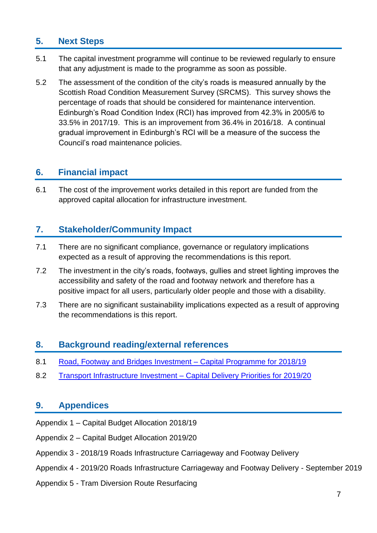## **5. Next Steps**

- 5.1 The capital investment programme will continue to be reviewed regularly to ensure that any adjustment is made to the programme as soon as possible.
- 5.2 The assessment of the condition of the city's roads is measured annually by the Scottish Road Condition Measurement Survey (SRCMS). This survey shows the percentage of roads that should be considered for maintenance intervention. Edinburgh's Road Condition Index (RCI) has improved from 42.3% in 2005/6 to 33.5% in 2017/19. This is an improvement from 36.4% in 2016/18. A continual gradual improvement in Edinburgh's RCI will be a measure of the success the Council's road maintenance policies.

## **6. Financial impact**

6.1 The cost of the improvement works detailed in this report are funded from the approved capital allocation for infrastructure investment.

## **7. Stakeholder/Community Impact**

- 7.1 There are no significant compliance, governance or regulatory implications expected as a result of approving the recommendations is this report.
- 7.2 The investment in the city's roads, footways, gullies and street lighting improves the accessibility and safety of the road and footway network and therefore has a positive impact for all users, particularly older people and those with a disability.
- 7.3 There are no significant sustainability implications expected as a result of approving the recommendations is this report.

## **8. Background reading/external references**

- 8.1 [Road, Footway and Bridges Investment –](https://democracy.edinburgh.gov.uk/CeListDocuments.aspx?CommitteeId=136&MeetingId=4755&DF=09%2f03%2f2018&Ver=2) Capital Programme for 2018/19
- 8.2 Transport Infrastructure Investment [Capital Delivery Priorities for 2019/20](https://democracy.edinburgh.gov.uk/CeListDocuments.aspx?CommitteeId=136&MeetingId=4762&DF=05%2f03%2f2019&Ver=2)

## **9. Appendices**

- Appendix 1 Capital Budget Allocation 2018/19
- Appendix 2 Capital Budget Allocation 2019/20
- Appendix 3 2018/19 Roads Infrastructure Carriageway and Footway Delivery
- Appendix 4 2019/20 Roads Infrastructure Carriageway and Footway Delivery September 2019
- Appendix 5 Tram Diversion Route Resurfacing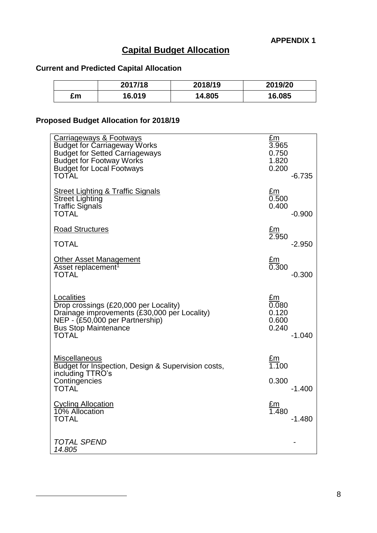## **Capital Budget Allocation**

## **Current and Predicted Capital Allocation**

|    | 2017/18 | 2018/19 | 2019/20 |
|----|---------|---------|---------|
| £m | 16.019  | 14.805  | 16.085  |

## **Proposed Budget Allocation for 2018/19**

 $\overline{a}$ 

| <b>Carriageways &amp; Footways</b>                                                                                              | $E_{\rm m}$                                  |
|---------------------------------------------------------------------------------------------------------------------------------|----------------------------------------------|
| <b>Budget for Carriageway Works</b>                                                                                             | 3.965                                        |
| <b>Budget for Setted Carriageways</b>                                                                                           | 0.750                                        |
| <b>Budget for Footway Works</b>                                                                                                 | 1.820                                        |
| <b>Budget for Local Footways</b>                                                                                                | 0.200                                        |
| <b>TOTAL</b>                                                                                                                    | $-6.735$                                     |
| <b>Street Lighting &amp; Traffic Signals</b>                                                                                    | £m                                           |
| <b>Street Lighting</b>                                                                                                          | 0.500                                        |
| <b>Traffic Signals</b>                                                                                                          | 0.400                                        |
| <b>TOTAL</b>                                                                                                                    | $-0.900$                                     |
| <b>Road Structures</b>                                                                                                          | <u>£m</u><br>2.950                           |
| <b>TOTAL</b>                                                                                                                    | $-2.950$                                     |
| <u>Other Asset Management</u><br>Asset replacement <sup>1</sup><br><b>TOTAL</b>                                                 | $\frac{\text{Em}}{\text{0.300}}$<br>$-0.300$ |
| Localities                                                                                                                      | £m                                           |
| Drop crossings (£20,000 per Locality)                                                                                           | 0.080                                        |
| Drainage improvements (£30,000 per Locality)                                                                                    | 0.120                                        |
| NEP - (£50,000 per Partnership)                                                                                                 | 0.600                                        |
| <b>Bus Stop Maintenance</b>                                                                                                     | 0.240                                        |
| <b>TOTAL</b>                                                                                                                    | -1.040                                       |
| <b>Miscellaneous</b><br>Budget for Inspection, Design & Supervision costs,<br>including TTRO's<br>Contingencies<br><b>TOTAL</b> | <u>£m</u><br>1.100<br>0.300<br>$-1.400$      |
| <b>Cycling Allocation</b><br>10% Allocation<br><b>TOTAL</b>                                                                     | $\frac{\text{Em}}{1.480}$<br>$-1.480$        |
| <b>TOTAL SPEND</b><br>14.805                                                                                                    |                                              |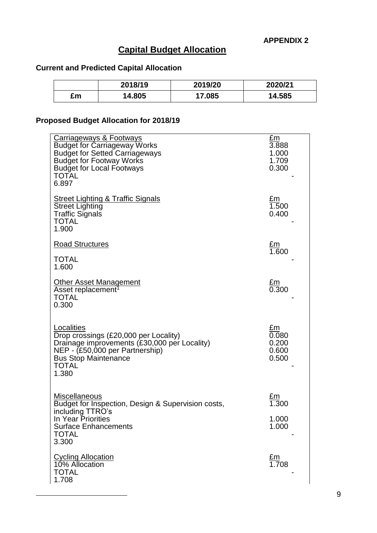## **Capital Budget Allocation**

## **Current and Predicted Capital Allocation**

|    | 2018/19 | 2019/20 | 2020/21 |
|----|---------|---------|---------|
| £m | 4.805   | 7.085   | 14.585  |

## **Proposed Budget Allocation for 2018/19**

 $\overline{a}$ 

| Carriageways & Footways<br><b>Budget for Carriageway Works</b><br><b>Budget for Setted Carriageways</b><br><b>Budget for Footway Works</b><br><b>Budget for Local Footways</b><br><b>TOTAL</b><br>6.897 | £m<br>3.888<br>1.000<br>1.709<br>0.300                  |
|---------------------------------------------------------------------------------------------------------------------------------------------------------------------------------------------------------|---------------------------------------------------------|
| Street Lighting & Traffic Signals<br><b>Street Lighting</b><br><b>Traffic Signals</b><br><b>TOTAL</b><br>1.900                                                                                          | £m<br>1.500<br>0.400                                    |
| <b>Road Structures</b>                                                                                                                                                                                  | <u>£m</u><br>1.600                                      |
| <b>TOTAL</b><br>1.600                                                                                                                                                                                   |                                                         |
| <b>Other Asset Management</b><br>Asset replacement <sup>1</sup><br><b>TOTAL</b><br>0.300                                                                                                                | $\frac{\text{Em}}{\text{0.300}}$                        |
| Localities<br>Drop crossings (£20,000 per Locality)<br>Drainage improvements (£30,000 per Locality)<br>NEP - (£50,000 per Partnership)<br><b>Bus Stop Maintenance</b><br><b>TOTAL</b><br>1.380          | $E_{\underline{m}}$<br>0.080<br>0.200<br>0.600<br>0.500 |
| Miscellaneous<br>Budget for Inspection, Design & Supervision costs,                                                                                                                                     | .300                                                    |
| including TTRO's<br>In Year Priorities                                                                                                                                                                  | 1.000                                                   |
| <b>Surface Enhancements</b><br><b>TOTAL</b><br>3.300                                                                                                                                                    | 1.000                                                   |
| <b>Cycling Allocation</b><br>10% Allocation<br><b>TOTAL</b><br>1.708                                                                                                                                    | <u>£m</u><br>1.708                                      |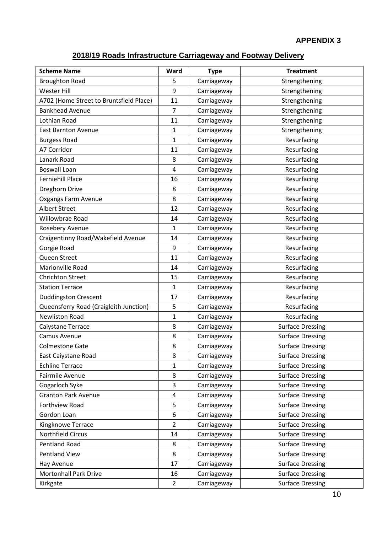## **2018/19 Roads Infrastructure Carriageway and Footway Delivery**

| <b>Scheme Name</b>                      | Ward           | <b>Type</b> | <b>Treatment</b>        |
|-----------------------------------------|----------------|-------------|-------------------------|
| <b>Broughton Road</b>                   | 5              | Carriageway | Strengthening           |
| <b>Wester Hill</b>                      | 9              | Carriageway | Strengthening           |
| A702 (Home Street to Bruntsfield Place) | 11             | Carriageway | Strengthening           |
| <b>Bankhead Avenue</b>                  | $\overline{7}$ | Carriageway | Strengthening           |
| Lothian Road                            | 11             | Carriageway | Strengthening           |
| <b>East Barnton Avenue</b>              | 1              | Carriageway | Strengthening           |
| <b>Burgess Road</b>                     | 1              | Carriageway | Resurfacing             |
| A7 Corridor                             | 11             | Carriageway | Resurfacing             |
| Lanark Road                             | 8              | Carriageway | Resurfacing             |
| <b>Boswall Loan</b>                     | 4              | Carriageway | Resurfacing             |
| <b>Ferniehill Place</b>                 | 16             | Carriageway | Resurfacing             |
| Dreghorn Drive                          | 8              | Carriageway | Resurfacing             |
| <b>Oxgangs Farm Avenue</b>              | 8              | Carriageway | Resurfacing             |
| <b>Albert Street</b>                    | 12             | Carriageway | Resurfacing             |
| <b>Willowbrae Road</b>                  | 14             | Carriageway | Resurfacing             |
| Rosebery Avenue                         | 1              | Carriageway | Resurfacing             |
| Craigentinny Road/Wakefield Avenue      | 14             | Carriageway | Resurfacing             |
| Gorgie Road                             | 9              | Carriageway | Resurfacing             |
| Queen Street                            | 11             | Carriageway | Resurfacing             |
| Marionville Road                        | 14             | Carriageway | Resurfacing             |
| <b>Chrichton Street</b>                 | 15             | Carriageway | Resurfacing             |
| <b>Station Terrace</b>                  | $\mathbf{1}$   | Carriageway | Resurfacing             |
| <b>Duddingston Crescent</b>             | 17             | Carriageway | Resurfacing             |
| Queensferry Road (Craigleith Junction)  | 5              | Carriageway | Resurfacing             |
| <b>Newliston Road</b>                   | $\mathbf{1}$   | Carriageway | Resurfacing             |
| Caiystane Terrace                       | 8              | Carriageway | <b>Surface Dressing</b> |
| Camus Avenue                            | 8              | Carriageway | <b>Surface Dressing</b> |
| <b>Colmestone Gate</b>                  | 8              | Carriageway | <b>Surface Dressing</b> |
| East Caiystane Road                     | 8              | Carriageway | <b>Surface Dressing</b> |
| <b>Echline Terrace</b>                  | 1              | Carriageway | <b>Surface Dressing</b> |
| Fairmile Avenue                         | 8              | Carriageway | <b>Surface Dressing</b> |
| Gogarloch Syke                          | 3              | Carriageway | <b>Surface Dressing</b> |
| <b>Granton Park Avenue</b>              | 4              | Carriageway | <b>Surface Dressing</b> |
| Forthview Road                          | 5              | Carriageway | <b>Surface Dressing</b> |
| Gordon Loan                             | 6              | Carriageway | <b>Surface Dressing</b> |
| Kingknowe Terrace                       | $\overline{2}$ | Carriageway | <b>Surface Dressing</b> |
| Northfield Circus                       | 14             | Carriageway | <b>Surface Dressing</b> |
| <b>Pentland Road</b>                    | 8              | Carriageway | <b>Surface Dressing</b> |
| <b>Pentland View</b>                    | 8              | Carriageway | <b>Surface Dressing</b> |
| Hay Avenue                              | 17             | Carriageway | <b>Surface Dressing</b> |
| <b>Mortonhall Park Drive</b>            | 16             | Carriageway | <b>Surface Dressing</b> |
| Kirkgate                                | $\overline{2}$ | Carriageway | <b>Surface Dressing</b> |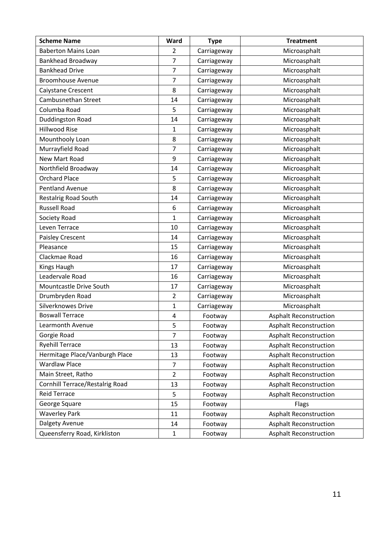| <b>Scheme Name</b>                     | Ward           | <b>Type</b> | <b>Treatment</b>              |  |
|----------------------------------------|----------------|-------------|-------------------------------|--|
| <b>Baberton Mains Loan</b>             | 2              | Carriageway | Microasphalt                  |  |
| <b>Bankhead Broadway</b>               | 7              | Carriageway | Microasphalt                  |  |
| <b>Bankhead Drive</b>                  | $\overline{7}$ | Carriageway | Microasphalt                  |  |
| <b>Broomhouse Avenue</b>               | 7              | Carriageway | Microasphalt                  |  |
| Caiystane Crescent                     | 8              | Carriageway | Microasphalt                  |  |
| Cambusnethan Street                    | 14             | Carriageway | Microasphalt                  |  |
| Columba Road                           | 5              | Carriageway | Microasphalt                  |  |
| <b>Duddingston Road</b>                | 14             | Carriageway | Microasphalt                  |  |
| <b>Hillwood Rise</b>                   | 1              | Carriageway | Microasphalt                  |  |
| Mounthooly Loan                        | 8              | Carriageway | Microasphalt                  |  |
| Murrayfield Road                       | 7              | Carriageway | Microasphalt                  |  |
| New Mart Road                          | 9              | Carriageway | Microasphalt                  |  |
| Northfield Broadway                    | 14             | Carriageway | Microasphalt                  |  |
| <b>Orchard Place</b>                   | 5              | Carriageway | Microasphalt                  |  |
| <b>Pentland Avenue</b>                 | 8              | Carriageway | Microasphalt                  |  |
| <b>Restalrig Road South</b>            | 14             | Carriageway | Microasphalt                  |  |
| <b>Russell Road</b>                    | 6              | Carriageway | Microasphalt                  |  |
| Society Road                           | 1              | Carriageway | Microasphalt                  |  |
| Leven Terrace                          | 10             | Carriageway | Microasphalt                  |  |
| Paisley Crescent                       | 14             | Carriageway | Microasphalt                  |  |
| Pleasance                              | 15             | Carriageway | Microasphalt                  |  |
| Clackmae Road                          | 16             | Carriageway | Microasphalt                  |  |
| Kings Haugh                            | 17             | Carriageway | Microasphalt                  |  |
| Leadervale Road                        | 16             | Carriageway | Microasphalt                  |  |
| Mountcastle Drive South                | 17             | Carriageway | Microasphalt                  |  |
| Drumbryden Road                        | 2              | Carriageway | Microasphalt                  |  |
| Silverknowes Drive                     | $\mathbf{1}$   | Carriageway | Microasphalt                  |  |
| <b>Boswall Terrace</b>                 | 4              | Footway     | <b>Asphalt Reconstruction</b> |  |
| Learmonth Avenue                       | 5              | Footway     | <b>Asphalt Reconstruction</b> |  |
| Gorgie Road                            | 7              | Footway     | <b>Asphalt Reconstruction</b> |  |
| <b>Ryehill Terrace</b>                 | 13             | Footway     | <b>Asphalt Reconstruction</b> |  |
| Hermitage Place/Vanburgh Place         | 13             | Footway     | <b>Asphalt Reconstruction</b> |  |
| <b>Wardlaw Place</b>                   | 7              | Footway     | <b>Asphalt Reconstruction</b> |  |
| Main Street, Ratho                     | $\overline{2}$ | Footway     | <b>Asphalt Reconstruction</b> |  |
| <b>Cornhill Terrace/Restalrig Road</b> | 13             | Footway     | <b>Asphalt Reconstruction</b> |  |
| <b>Reid Terrace</b>                    | 5              | Footway     | <b>Asphalt Reconstruction</b> |  |
| George Square                          | 15             | Footway     | Flags                         |  |
| <b>Waverley Park</b>                   | 11             | Footway     | <b>Asphalt Reconstruction</b> |  |
| Dalgety Avenue                         | 14             | Footway     | <b>Asphalt Reconstruction</b> |  |
| Queensferry Road, Kirkliston           | $\mathbf{1}$   | Footway     | <b>Asphalt Reconstruction</b> |  |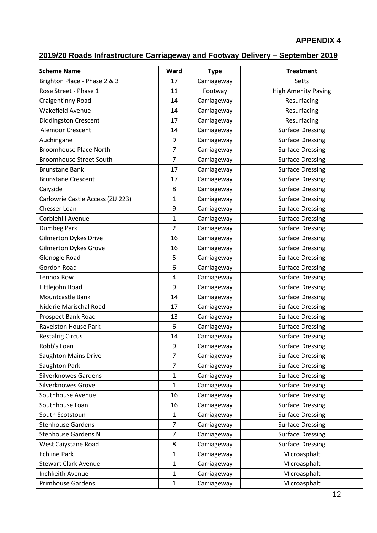## **2019/20 Roads Infrastructure Carriageway and Footway Delivery – September 2019**

| <b>Scheme Name</b>               | Ward           | <b>Type</b> | <b>Treatment</b>           |
|----------------------------------|----------------|-------------|----------------------------|
| Brighton Place - Phase 2 & 3     | 17             | Carriageway | Setts                      |
| Rose Street - Phase 1            | 11             | Footway     | <b>High Amenity Paving</b> |
| Craigentinny Road                | 14             | Carriageway | Resurfacing                |
| Wakefield Avenue                 | 14             | Carriageway | Resurfacing                |
| <b>Diddingston Crescent</b>      | 17             | Carriageway | Resurfacing                |
| Alemoor Crescent                 | 14             | Carriageway | <b>Surface Dressing</b>    |
| Auchingane                       | 9              | Carriageway | <b>Surface Dressing</b>    |
| <b>Broomhouse Place North</b>    | $\overline{7}$ | Carriageway | <b>Surface Dressing</b>    |
| <b>Broomhouse Street South</b>   | $\overline{7}$ | Carriageway | <b>Surface Dressing</b>    |
| <b>Brunstane Bank</b>            | 17             | Carriageway | <b>Surface Dressing</b>    |
| <b>Brunstane Crescent</b>        | 17             | Carriageway | <b>Surface Dressing</b>    |
| Caiyside                         | 8              | Carriageway | <b>Surface Dressing</b>    |
| Carlowrie Castle Access (ZU 223) | $\mathbf{1}$   | Carriageway | <b>Surface Dressing</b>    |
| <b>Chesser Loan</b>              | 9              | Carriageway | <b>Surface Dressing</b>    |
| Corbiehill Avenue                | $\mathbf{1}$   | Carriageway | <b>Surface Dressing</b>    |
| Dumbeg Park                      | $\overline{2}$ | Carriageway | <b>Surface Dressing</b>    |
| <b>Gilmerton Dykes Drive</b>     | 16             | Carriageway | <b>Surface Dressing</b>    |
| <b>Gilmerton Dykes Grove</b>     | 16             | Carriageway | <b>Surface Dressing</b>    |
| Glenogle Road                    | 5              | Carriageway | <b>Surface Dressing</b>    |
| <b>Gordon Road</b>               | 6              | Carriageway | <b>Surface Dressing</b>    |
| Lennox Row                       | 4              | Carriageway | <b>Surface Dressing</b>    |
| Littlejohn Road                  | 9              | Carriageway | <b>Surface Dressing</b>    |
| Mountcastle Bank                 | 14             | Carriageway | <b>Surface Dressing</b>    |
| Niddrie Marischal Road           | 17             | Carriageway | <b>Surface Dressing</b>    |
| Prospect Bank Road               | 13             | Carriageway | <b>Surface Dressing</b>    |
| <b>Ravelston House Park</b>      | 6              | Carriageway | <b>Surface Dressing</b>    |
| <b>Restalrig Circus</b>          | 14             | Carriageway | <b>Surface Dressing</b>    |
| Robb's Loan                      | 9              | Carriageway | <b>Surface Dressing</b>    |
| <b>Saughton Mains Drive</b>      | $\overline{7}$ | Carriageway | <b>Surface Dressing</b>    |
| Saughton Park                    | $\overline{7}$ | Carriageway | <b>Surface Dressing</b>    |
| <b>Silverknowes Gardens</b>      | $\mathbf{1}$   | Carriageway | <b>Surface Dressing</b>    |
| Silverknowes Grove               | $\mathbf{1}$   | Carriageway | <b>Surface Dressing</b>    |
| Southhouse Avenue                | 16             | Carriageway | <b>Surface Dressing</b>    |
| Southhouse Loan                  | 16             | Carriageway | <b>Surface Dressing</b>    |
| South Scotstoun                  | $\mathbf{1}$   | Carriageway | <b>Surface Dressing</b>    |
| <b>Stenhouse Gardens</b>         | $\overline{7}$ | Carriageway | <b>Surface Dressing</b>    |
| <b>Stenhouse Gardens N</b>       | $\overline{7}$ | Carriageway | <b>Surface Dressing</b>    |
| West Caiystane Road              | 8              | Carriageway | <b>Surface Dressing</b>    |
| <b>Echline Park</b>              | $\mathbf{1}$   | Carriageway | Microasphalt               |
| <b>Stewart Clark Avenue</b>      | $\mathbf{1}$   | Carriageway | Microasphalt               |
| Inchkeith Avenue                 | $\mathbf{1}$   | Carriageway | Microasphalt               |
| <b>Primhouse Gardens</b>         | $\mathbf 1$    | Carriageway | Microasphalt               |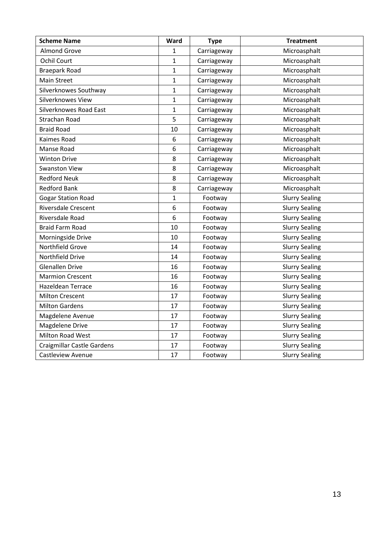| <b>Scheme Name</b>                | Ward         | <b>Type</b> | <b>Treatment</b>      |
|-----------------------------------|--------------|-------------|-----------------------|
| <b>Almond Grove</b>               | 1            | Carriageway | Microasphalt          |
| <b>Ochil Court</b>                | 1            | Carriageway | Microasphalt          |
| <b>Braepark Road</b>              | $\mathbf{1}$ | Carriageway | Microasphalt          |
| <b>Main Street</b>                | $\mathbf{1}$ | Carriageway | Microasphalt          |
| Silverknowes Southway             | $\mathbf{1}$ | Carriageway | Microasphalt          |
| Silverknowes View                 | $\mathbf{1}$ | Carriageway | Microasphalt          |
| Silverknowes Road East            | $\mathbf{1}$ | Carriageway | Microasphalt          |
| <b>Strachan Road</b>              | 5            | Carriageway | Microasphalt          |
| <b>Braid Road</b>                 | 10           | Carriageway | Microasphalt          |
| Kaimes Road                       | 6            | Carriageway | Microasphalt          |
| Manse Road                        | 6            | Carriageway | Microasphalt          |
| <b>Winton Drive</b>               | 8            | Carriageway | Microasphalt          |
| <b>Swanston View</b>              | 8            | Carriageway | Microasphalt          |
| <b>Redford Neuk</b>               | 8            | Carriageway | Microasphalt          |
| <b>Redford Bank</b>               | 8            | Carriageway | Microasphalt          |
| <b>Gogar Station Road</b>         | $\mathbf{1}$ | Footway     | <b>Slurry Sealing</b> |
| <b>Riversdale Crescent</b>        | 6            | Footway     | <b>Slurry Sealing</b> |
| Riversdale Road                   | 6            | Footway     | <b>Slurry Sealing</b> |
| <b>Braid Farm Road</b>            | 10           | Footway     | <b>Slurry Sealing</b> |
| Morningside Drive                 | 10           | Footway     | <b>Slurry Sealing</b> |
| Northfield Grove                  | 14           | Footway     | <b>Slurry Sealing</b> |
| Northfield Drive                  | 14           | Footway     | <b>Slurry Sealing</b> |
| <b>Glenallen Drive</b>            | 16           | Footway     | <b>Slurry Sealing</b> |
| <b>Marmion Crescent</b>           | 16           | Footway     | <b>Slurry Sealing</b> |
| <b>Hazeldean Terrace</b>          | 16           | Footway     | <b>Slurry Sealing</b> |
| <b>Milton Crescent</b>            | 17           | Footway     | <b>Slurry Sealing</b> |
| <b>Milton Gardens</b>             | 17           | Footway     | <b>Slurry Sealing</b> |
| Magdelene Avenue                  | 17           | Footway     | <b>Slurry Sealing</b> |
| <b>Magdelene Drive</b>            | 17           | Footway     | <b>Slurry Sealing</b> |
| <b>Milton Road West</b>           | 17           | Footway     | <b>Slurry Sealing</b> |
| <b>Craigmillar Castle Gardens</b> | 17           | Footway     | <b>Slurry Sealing</b> |
| <b>Castleview Avenue</b>          | 17           | Footway     | <b>Slurry Sealing</b> |